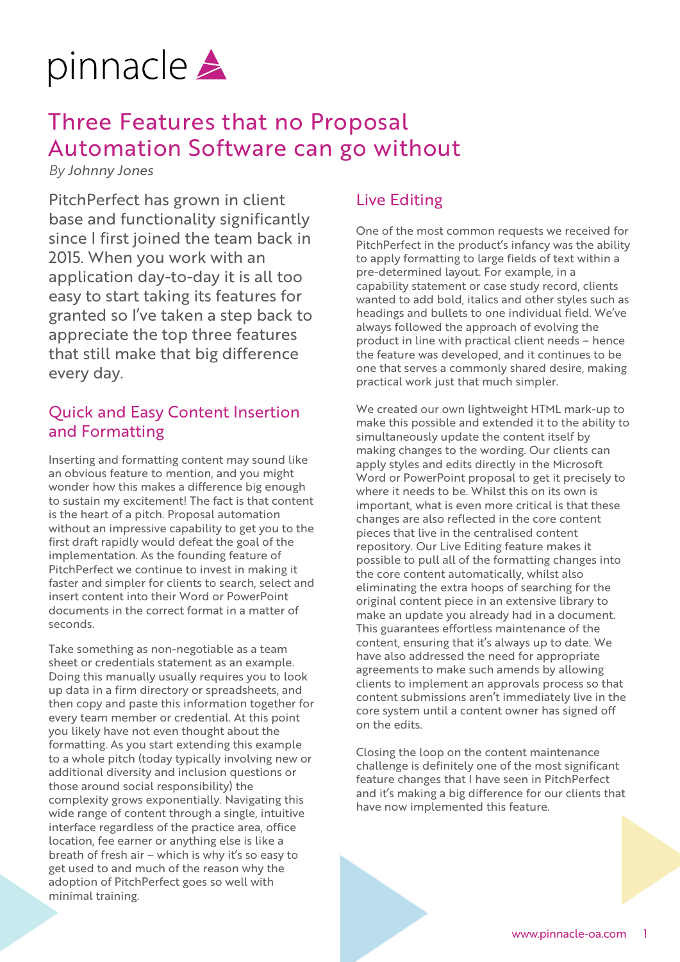

## Three Features that no Proposal Automation Software can go without

*By Johnny Jones*

PitchPerfect has grown in client base and functionality significantly since I first joined the team back in 2015. When you work with an application day-to-day it is all too easy to start taking its features for granted so I've taken a step back to appreciate the top three features that still make that big difference every day.

## Quick and Easy Content Insertion and Formatting

Inserting and formatting content may sound like an obvious feature to mention, and you might wonder how this makes a difference big enough to sustain my excitement! The fact is that content is the heart of a pitch. Proposal automation without an impressive capability to get you to the first draft rapidly would defeat the goal of the implementation. As the founding feature of PitchPerfect we continue to invest in making it faster and simpler for clients to search, select and insert content into their Word or PowerPoint documents in the correct format in a matter of seconds.

Take something as non-negotiable as a team sheet or credentials statement as an example. Doing this manually usually requires you to look up data in a firm directory or spreadsheets, and then copy and paste this information together for every team member or credential. At this point you likely have not even thought about the formatting. As you start extending this example to a whole pitch (today typically involving new or additional diversity and inclusion questions or those around social responsibility) the complexity grows exponentially. Navigating this wide range of content through a single, intuitive interface regardless of the practice area, office location, fee earner or anything else is like a breath of fresh air – which is why it's so easy to get used to and much of the reason why the adoption of PitchPerfect goes so well with minimal training.

## Live Editing

One of the most common requests we received for PitchPerfect in the product's infancy was the ability to apply formatting to large fields of text within a pre-determined layout. For example, in a capability statement or case study record, clients wanted to add bold, italics and other styles such as headings and bullets to one individual field. We've always followed the approach of evolving the product in line with practical client needs – hence the feature was developed, and it continues to be one that serves a commonly shared desire, making practical work just that much simpler.

We created our own lightweight HTML mark-up to make this possible and extended it to the ability to simultaneously update the content itself by making changes to the wording. Our clients can apply styles and edits directly in the Microsoft Word or PowerPoint proposal to get it precisely to where it needs to be. Whilst this on its own is important, what is even more critical is that these changes are also reflected in the core content pieces that live in the centralised content repository. Our Live Editing feature makes it possible to pull all of the formatting changes into the core content automatically, whilst also eliminating the extra hoops of searching for the original content piece in an extensive library to make an update you already had in a document. This guarantees effortless maintenance of the content, ensuring that it's always up to date. We have also addressed the need for appropriate agreements to make such amends by allowing clients to implement an approvals process so that content submissions aren't immediately live in the core system until a content owner has signed off on the edits.

Closing the loop on the content maintenance challenge is definitely one of the most significant feature changes that I have seen in PitchPerfect and it's making a big difference for our clients that have now implemented this feature.